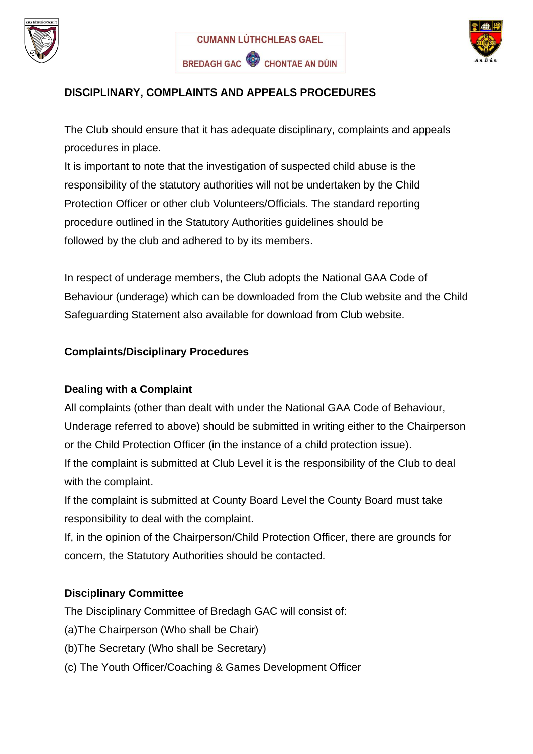





# **DISCIPLINARY, COMPLAINTS AND APPEALS PROCEDURES**

The Club should ensure that it has adequate disciplinary, complaints and appeals procedures in place.

It is important to note that the investigation of suspected child abuse is the responsibility of the statutory authorities will not be undertaken by the Child Protection Officer or other club Volunteers/Officials. The standard reporting procedure outlined in the Statutory Authorities guidelines should be followed by the club and adhered to by its members.

In respect of underage members, the Club adopts the National GAA Code of Behaviour (underage) which can be downloaded from the Club website and the Child Safeguarding Statement also available for download from Club website.

# **Complaints/Disciplinary Procedures**

### **Dealing with a Complaint**

All complaints (other than dealt with under the National GAA Code of Behaviour, Underage referred to above) should be submitted in writing either to the Chairperson or the Child Protection Officer (in the instance of a child protection issue). If the complaint is submitted at Club Level it is the responsibility of the Club to deal with the complaint.

If the complaint is submitted at County Board Level the County Board must take responsibility to deal with the complaint.

If, in the opinion of the Chairperson/Child Protection Officer, there are grounds for concern, the Statutory Authorities should be contacted.

### **Disciplinary Committee**

The Disciplinary Committee of Bredagh GAC will consist of:

- (a)The Chairperson (Who shall be Chair)
- (b)The Secretary (Who shall be Secretary)
- (c) The Youth Officer/Coaching & Games Development Officer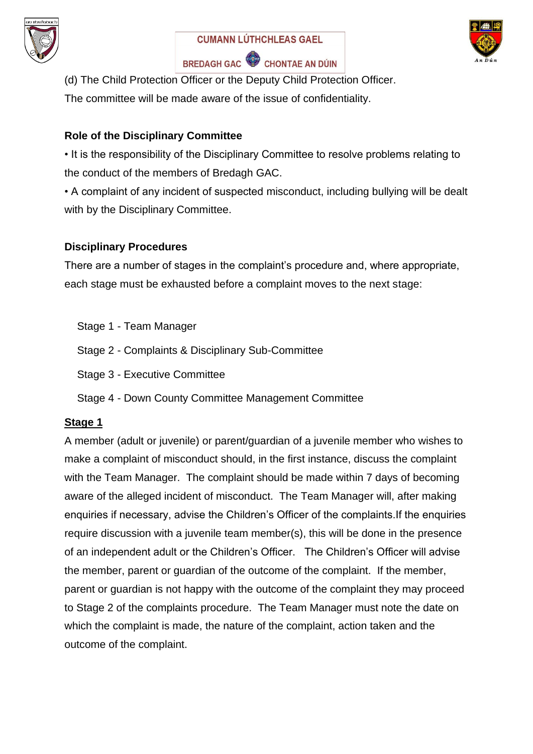





(d) The Child Protection Officer or the Deputy Child Protection Officer. The committee will be made aware of the issue of confidentiality.

## **Role of the Disciplinary Committee**

• It is the responsibility of the Disciplinary Committee to resolve problems relating to the conduct of the members of Bredagh GAC.

• A complaint of any incident of suspected misconduct, including bullying will be dealt with by the Disciplinary Committee.

## **Disciplinary Procedures**

There are a number of stages in the complaint's procedure and, where appropriate, each stage must be exhausted before a complaint moves to the next stage:

- Stage 1 Team Manager
- Stage 2 Complaints & Disciplinary Sub-Committee
- Stage 3 Executive Committee
- Stage 4 Down County Committee Management Committee

### **Stage 1**

A member (adult or juvenile) or parent/guardian of a juvenile member who wishes to make a complaint of misconduct should, in the first instance, discuss the complaint with the Team Manager. The complaint should be made within 7 days of becoming aware of the alleged incident of misconduct. The Team Manager will, after making enquiries if necessary, advise the Children's Officer of the complaints.If the enquiries require discussion with a juvenile team member(s), this will be done in the presence of an independent adult or the Children's Officer. The Children's Officer will advise the member, parent or guardian of the outcome of the complaint. If the member, parent or guardian is not happy with the outcome of the complaint they may proceed to Stage 2 of the complaints procedure. The Team Manager must note the date on which the complaint is made, the nature of the complaint, action taken and the outcome of the complaint.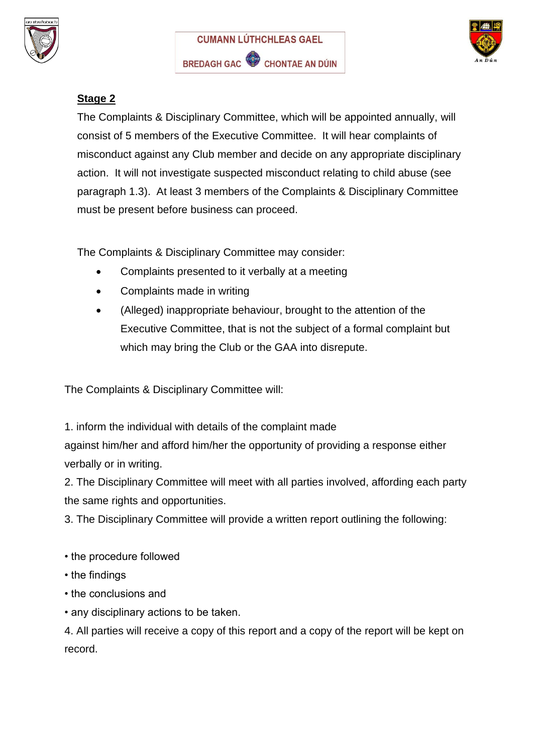





# **Stage 2**

The Complaints & Disciplinary Committee, which will be appointed annually, will consist of 5 members of the Executive Committee. It will hear complaints of misconduct against any Club member and decide on any appropriate disciplinary action. It will not investigate suspected misconduct relating to child abuse (see paragraph 1.3). At least 3 members of the Complaints & Disciplinary Committee must be present before business can proceed.

The Complaints & Disciplinary Committee may consider:

- Complaints presented to it verbally at a meeting
- Complaints made in writing
- (Alleged) inappropriate behaviour, brought to the attention of the Executive Committee, that is not the subject of a formal complaint but which may bring the Club or the GAA into disrepute.

The Complaints & Disciplinary Committee will:

1. inform the individual with details of the complaint made against him/her and afford him/her the opportunity of providing a response either verbally or in writing.

2. The Disciplinary Committee will meet with all parties involved, affording each party the same rights and opportunities.

3. The Disciplinary Committee will provide a written report outlining the following:

- the procedure followed
- the findings
- the conclusions and
- any disciplinary actions to be taken.

4. All parties will receive a copy of this report and a copy of the report will be kept on record.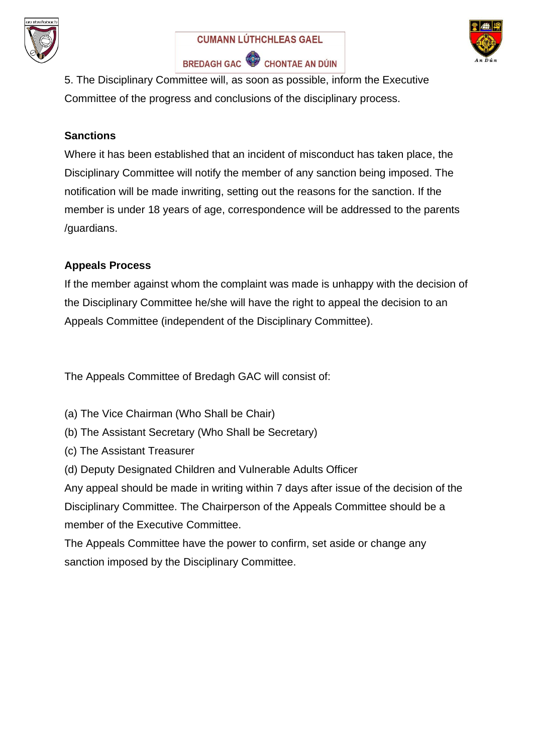





5. The Disciplinary Committee will, as soon as possible, inform the Executive Committee of the progress and conclusions of the disciplinary process.

## **Sanctions**

Where it has been established that an incident of misconduct has taken place, the Disciplinary Committee will notify the member of any sanction being imposed. The notification will be made inwriting, setting out the reasons for the sanction. If the member is under 18 years of age, correspondence will be addressed to the parents /guardians.

## **Appeals Process**

If the member against whom the complaint was made is unhappy with the decision of the Disciplinary Committee he/she will have the right to appeal the decision to an Appeals Committee (independent of the Disciplinary Committee).

The Appeals Committee of Bredagh GAC will consist of:

- (a) The Vice Chairman (Who Shall be Chair)
- (b) The Assistant Secretary (Who Shall be Secretary)
- (c) The Assistant Treasurer
- (d) Deputy Designated Children and Vulnerable Adults Officer

Any appeal should be made in writing within 7 days after issue of the decision of the Disciplinary Committee. The Chairperson of the Appeals Committee should be a member of the Executive Committee.

The Appeals Committee have the power to confirm, set aside or change any sanction imposed by the Disciplinary Committee.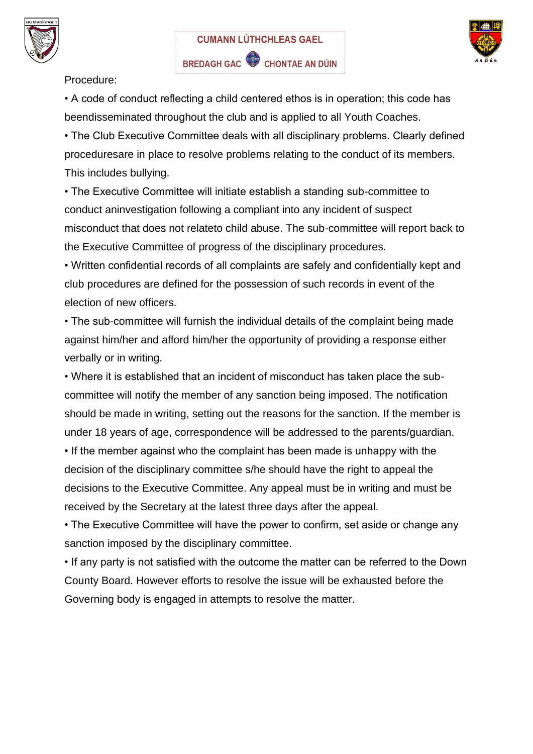





Procedure:

• A code of conduct reflecting a child centered ethos is in operation; this code has beendisseminated throughout the club and is applied to all Youth Coaches.

• The Club Executive Committee deals with all disciplinary problems. Clearly defined proceduresare in place to resolve problems relating to the conduct of its members. This includes bullying.

• The Executive Committee will initiate establish a standing sub-committee to conduct aninvestigation following a compliant into any incident of suspect misconduct that does not relateto child abuse. The sub-committee will report back to the Executive Committee of progress of the disciplinary procedures.

• Written confidential records of all complaints are safely and confidentially kept and club procedures are defined for the possession of such records in event of the election of new officers.

• The sub-committee will furnish the individual details of the complaint being made against him/her and afford him/her the opportunity of providing a response either verbally or in writing.

• Where it is established that an incident of misconduct has taken place the subcommittee will notify the member of any sanction being imposed. The notification should be made in writing, setting out the reasons for the sanction. If the member is under 18 years of age, correspondence will be addressed to the parents/guardian. • If the member against who the complaint has been made is unhappy with the

decision of the disciplinary committee s/he should have the right to appeal the decisions to the Executive Committee. Any appeal must be in writing and must be received by the Secretary at the latest three days after the appeal.

• The Executive Committee will have the power to confirm, set aside or change any sanction imposed by the disciplinary committee.

• If any party is not satisfied with the outcome the matter can be referred to the Down County Board. However efforts to resolve the issue will be exhausted before the Governing body is engaged in attempts to resolve the matter.